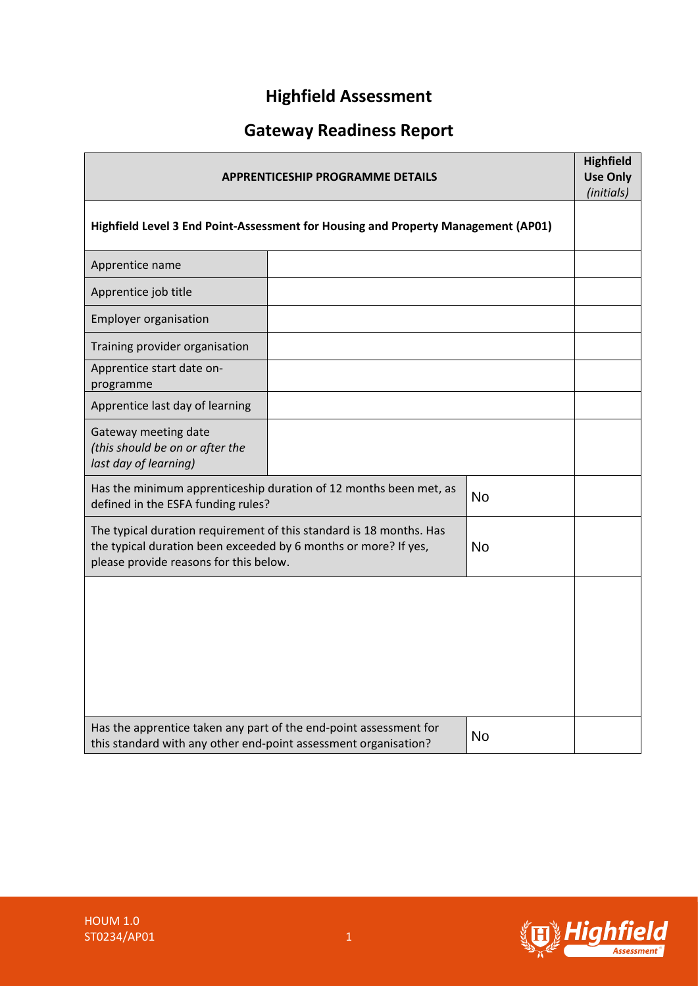## **Highfield Assessment**

# **Gateway Readiness Report**

| <b>APPRENTICESHIP PROGRAMME DETAILS</b>                                                                                                                                                       |  |  |  |
|-----------------------------------------------------------------------------------------------------------------------------------------------------------------------------------------------|--|--|--|
| Highfield Level 3 End Point-Assessment for Housing and Property Management (AP01)                                                                                                             |  |  |  |
| Apprentice name                                                                                                                                                                               |  |  |  |
| Apprentice job title                                                                                                                                                                          |  |  |  |
| <b>Employer organisation</b>                                                                                                                                                                  |  |  |  |
| Training provider organisation                                                                                                                                                                |  |  |  |
| Apprentice start date on-<br>programme                                                                                                                                                        |  |  |  |
| Apprentice last day of learning                                                                                                                                                               |  |  |  |
| Gateway meeting date<br>(this should be on or after the<br>last day of learning)                                                                                                              |  |  |  |
| Has the minimum apprenticeship duration of 12 months been met, as<br><b>No</b><br>defined in the ESFA funding rules?                                                                          |  |  |  |
| The typical duration requirement of this standard is 18 months. Has<br>the typical duration been exceeded by 6 months or more? If yes,<br><b>No</b><br>please provide reasons for this below. |  |  |  |
|                                                                                                                                                                                               |  |  |  |
| Has the apprentice taken any part of the end-point assessment for<br><b>No</b><br>this standard with any other end-point assessment organisation?                                             |  |  |  |

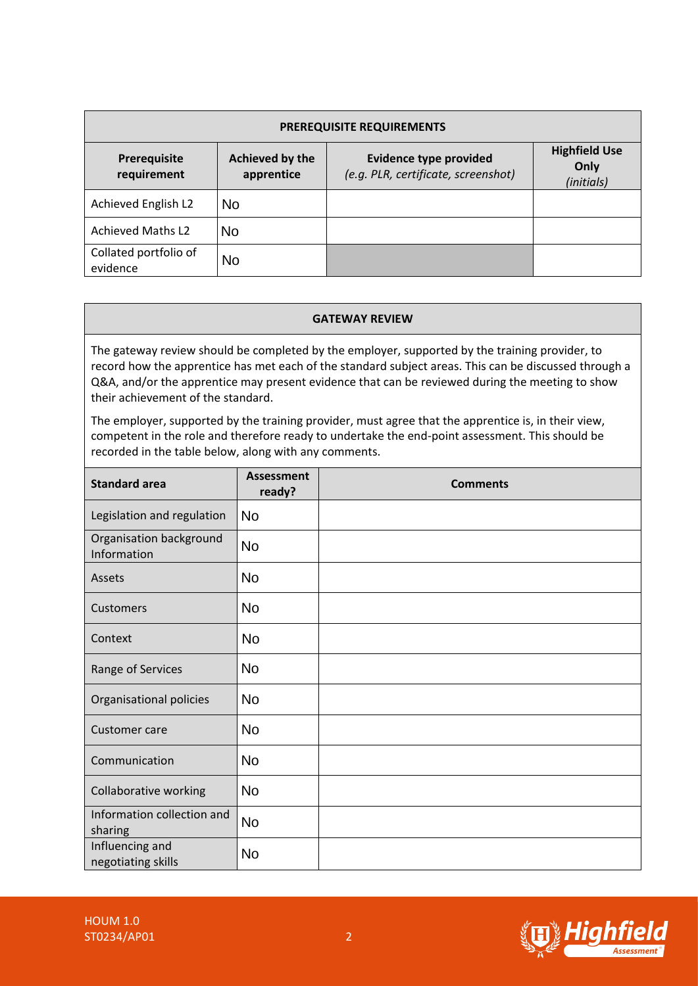| <b>PREREQUISITE REQUIREMENTS</b>  |                               |                                                                      |                                            |  |  |  |
|-----------------------------------|-------------------------------|----------------------------------------------------------------------|--------------------------------------------|--|--|--|
| Prerequisite<br>requirement       | Achieved by the<br>apprentice | <b>Evidence type provided</b><br>(e.g. PLR, certificate, screenshot) | <b>Highfield Use</b><br>Only<br>(initials) |  |  |  |
| Achieved English L2               | No.                           |                                                                      |                                            |  |  |  |
| <b>Achieved Maths L2</b>          | <b>No</b>                     |                                                                      |                                            |  |  |  |
| Collated portfolio of<br>evidence | No                            |                                                                      |                                            |  |  |  |

#### **GATEWAY REVIEW**

The gateway review should be completed by the employer, supported by the training provider, to record how the apprentice has met each of the standard subject areas. This can be discussed through a Q&A, and/or the apprentice may present evidence that can be reviewed during the meeting to show their achievement of the standard. No<br>
No<br>
Ild be c<br>
ce has r<br>
tice mar<br>
standa<br>
d there<br>
ow, alo<br>
As<br>
n<br>
No

The employer, supported by the training provider, must agree that the apprentice is, in their view, competent in the role and therefore ready to undertake the end-point assessment. This should be recorded in the table below, along with any comments.

| <b>Standard area</b>                   | <b>Assessment</b><br>ready? | <b>Comments</b> |
|----------------------------------------|-----------------------------|-----------------|
| Legislation and regulation             | <b>No</b>                   |                 |
| Organisation background<br>Information | <b>No</b>                   |                 |
| Assets                                 | <b>No</b>                   |                 |
| Customers                              | <b>No</b>                   |                 |
| Context                                | <b>No</b>                   |                 |
| Range of Services                      | No                          |                 |
| Organisational policies                | <b>No</b>                   |                 |
| Customer care                          | <b>No</b>                   |                 |
| Communication                          | <b>No</b>                   |                 |
| Collaborative working                  | <b>No</b>                   |                 |
| Information collection and<br>sharing  | <b>No</b>                   |                 |
| Influencing and<br>negotiating skills  | <b>No</b>                   |                 |

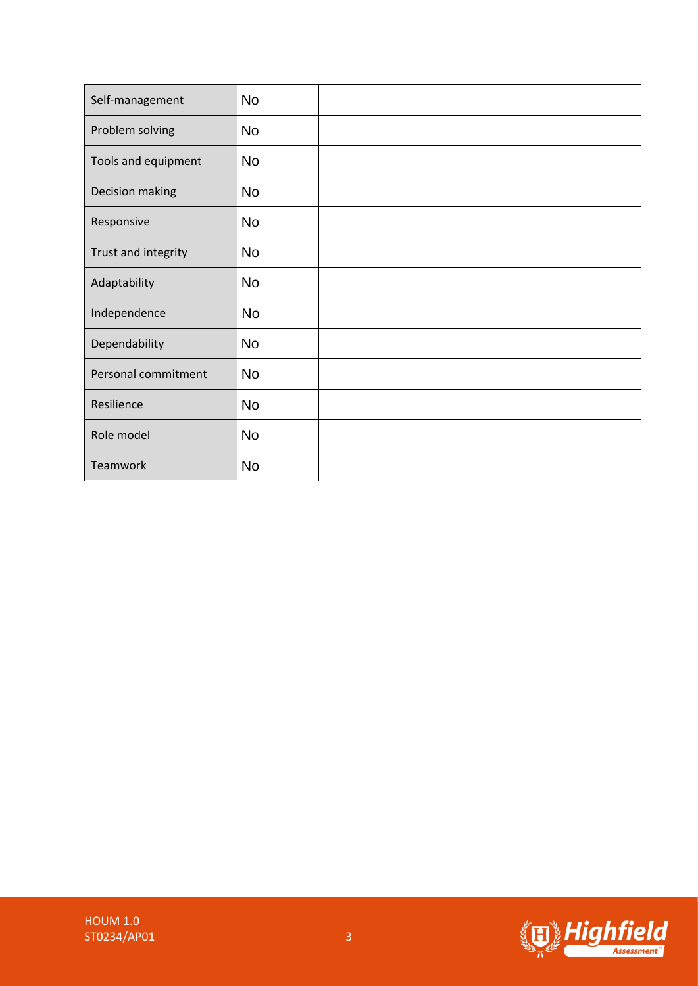| Self-management     | <b>No</b> |  |
|---------------------|-----------|--|
| Problem solving     | <b>No</b> |  |
| Tools and equipment | <b>No</b> |  |
| Decision making     | <b>No</b> |  |
| Responsive          | <b>No</b> |  |
| Trust and integrity | <b>No</b> |  |
| Adaptability        | <b>No</b> |  |
| Independence        | <b>No</b> |  |
| Dependability       | <b>No</b> |  |
| Personal commitment | <b>No</b> |  |
| Resilience          | <b>No</b> |  |
| Role model          | <b>No</b> |  |
| Teamwork            | <b>No</b> |  |